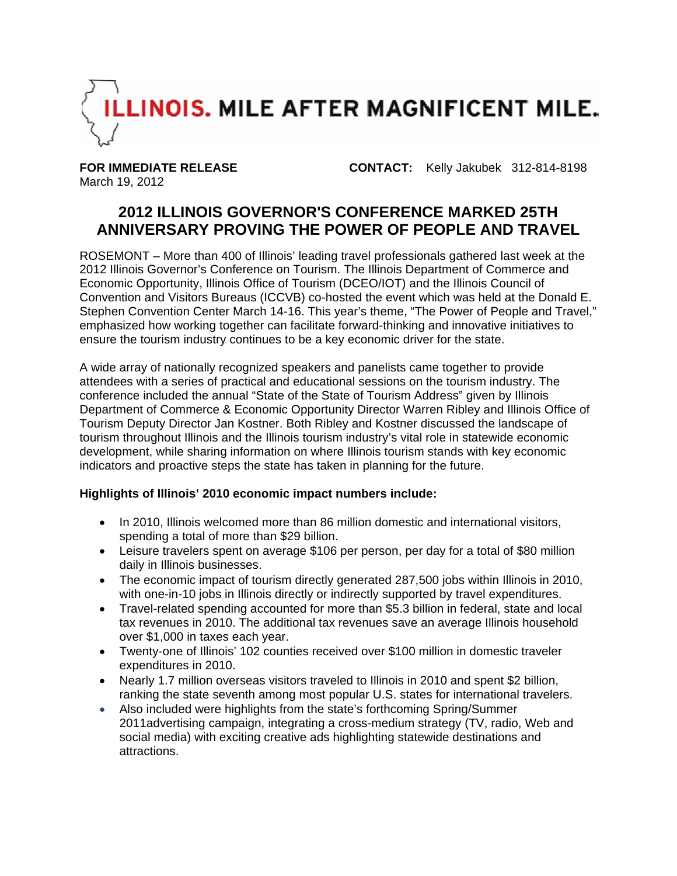

March 19, 2012

**FOR IMMEDIATE RELEASE CONTACT:** Kelly Jakubek 312-814-8198

# **2012 ILLINOIS GOVERNOR'S CONFERENCE MARKED 25TH ANNIVERSARY PROVING THE POWER OF PEOPLE AND TRAVEL**

ROSEMONT – More than 400 of Illinois' leading travel professionals gathered last week at the 2012 Illinois Governor's Conference on Tourism. The Illinois Department of Commerce and Economic Opportunity, Illinois Office of Tourism (DCEO/IOT) and the Illinois Council of Convention and Visitors Bureaus (ICCVB) co-hosted the event which was held at the Donald E. Stephen Convention Center March 14-16. This year's theme, "The Power of People and Travel," emphasized how working together can facilitate forward-thinking and innovative initiatives to ensure the tourism industry continues to be a key economic driver for the state.

A wide array of nationally recognized speakers and panelists came together to provide attendees with a series of practical and educational sessions on the tourism industry. The conference included the annual "State of the State of Tourism Address" given by Illinois Department of Commerce & Economic Opportunity Director Warren Ribley and Illinois Office of Tourism Deputy Director Jan Kostner. Both Ribley and Kostner discussed the landscape of tourism throughout Illinois and the Illinois tourism industry's vital role in statewide economic development, while sharing information on where Illinois tourism stands with key economic indicators and proactive steps the state has taken in planning for the future.

## **Highlights of Illinois' 2010 economic impact numbers include:**

- In 2010, Illinois welcomed more than 86 million domestic and international visitors, spending a total of more than \$29 billion.
- Leisure travelers spent on average \$106 per person, per day for a total of \$80 million daily in Illinois businesses.
- The economic impact of tourism directly generated 287,500 jobs within Illinois in 2010, with one-in-10 jobs in Illinois directly or indirectly supported by travel expenditures.
- Travel-related spending accounted for more than \$5.3 billion in federal, state and local tax revenues in 2010. The additional tax revenues save an average Illinois household over \$1,000 in taxes each year.
- Twenty-one of Illinois' 102 counties received over \$100 million in domestic traveler expenditures in 2010.
- Nearly 1.7 million overseas visitors traveled to Illinois in 2010 and spent \$2 billion, ranking the state seventh among most popular U.S. states for international travelers.
- Also included were highlights from the state's forthcoming Spring/Summer 2011advertising campaign, integrating a cross-medium strategy (TV, radio, Web and social media) with exciting creative ads highlighting statewide destinations and attractions.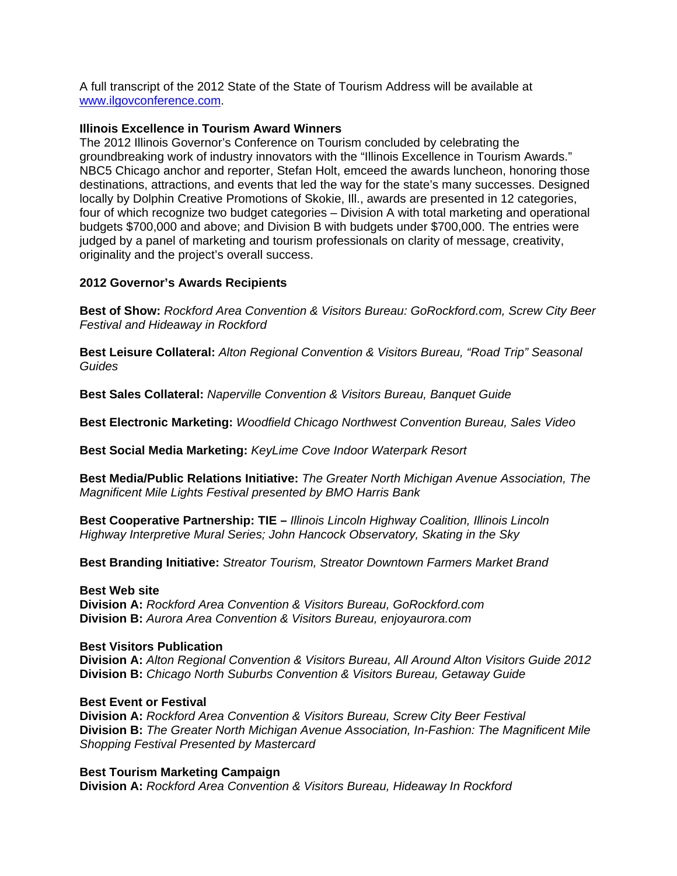A full transcript of the 2012 State of the State of Tourism Address will be available at www.ilgovconference.com.

#### **Illinois Excellence in Tourism Award Winners**

The 2012 Illinois Governor's Conference on Tourism concluded by celebrating the groundbreaking work of industry innovators with the "Illinois Excellence in Tourism Awards." NBC5 Chicago anchor and reporter, Stefan Holt, emceed the awards luncheon, honoring those destinations, attractions, and events that led the way for the state's many successes. Designed locally by Dolphin Creative Promotions of Skokie, Ill., awards are presented in 12 categories, four of which recognize two budget categories – Division A with total marketing and operational budgets \$700,000 and above; and Division B with budgets under \$700,000. The entries were judged by a panel of marketing and tourism professionals on clarity of message, creativity, originality and the project's overall success.

### **2012 Governor's Awards Recipients**

**Best of Show:** *Rockford Area Convention & Visitors Bureau: GoRockford.com, Screw City Beer Festival and Hideaway in Rockford* 

**Best Leisure Collateral:** *Alton Regional Convention & Visitors Bureau, "Road Trip" Seasonal Guides* 

**Best Sales Collateral:** *Naperville Convention & Visitors Bureau, Banquet Guide* 

**Best Electronic Marketing:** *Woodfield Chicago Northwest Convention Bureau, Sales Video* 

**Best Social Media Marketing:** *KeyLime Cove Indoor Waterpark Resort* 

**Best Media/Public Relations Initiative:** *The Greater North Michigan Avenue Association, The Magnificent Mile Lights Festival presented by BMO Harris Bank* 

**Best Cooperative Partnership: TIE –** *Illinois Lincoln Highway Coalition, Illinois Lincoln Highway Interpretive Mural Series; John Hancock Observatory, Skating in the Sky* 

**Best Branding Initiative:** *Streator Tourism, Streator Downtown Farmers Market Brand* 

#### **Best Web site**

**Division A:** *Rockford Area Convention & Visitors Bureau, GoRockford.com*  **Division B:** *Aurora Area Convention & Visitors Bureau, enjoyaurora.com* 

#### **Best Visitors Publication**

**Division A:** *Alton Regional Convention & Visitors Bureau, All Around Alton Visitors Guide 2012*  **Division B:** *Chicago North Suburbs Convention & Visitors Bureau, Getaway Guide* 

#### **Best Event or Festival**

**Division A:** *Rockford Area Convention & Visitors Bureau, Screw City Beer Festival*  **Division B:** *The Greater North Michigan Avenue Association, In-Fashion: The Magnificent Mile Shopping Festival Presented by Mastercard* 

#### **Best Tourism Marketing Campaign**

**Division A:** *Rockford Area Convention & Visitors Bureau, Hideaway In Rockford*